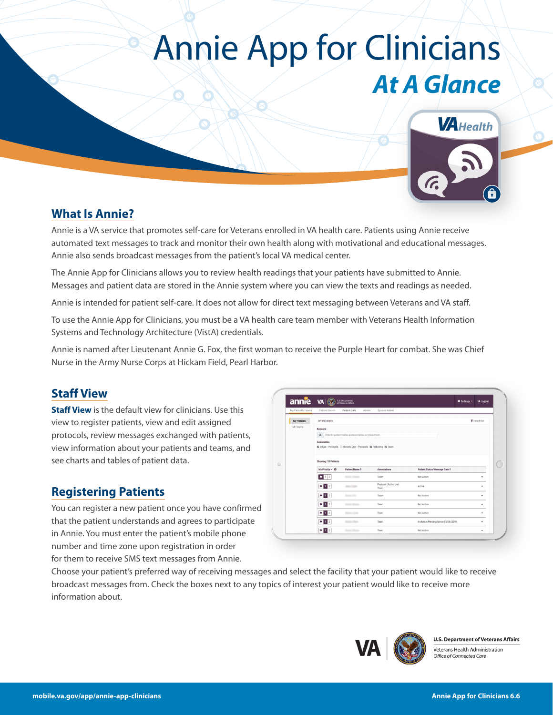## Annie App for Clinicians *At A Glance*



## **What Is Annie?**

Annie is a VA service that promotes self-care for Veterans enrolled in VA health care. Patients using Annie receive automated text messages to track and monitor their own health along with motivational and educational messages. Annie also sends broadcast messages from the patient's local VA medical center.

The Annie App for Clinicians allows you to review health readings that your patients have submitted to Annie. Messages and patient data are stored in the Annie system where you can view the texts and readings as needed.

Annie is intended for patient self-care. It does not allow for direct text messaging between Veterans and VA staff.

To use the Annie App for Clinicians, you must be a VA health care team member with Veterans Health Information Systems and Technology Architecture (VistA) credentials.

Annie is named after Lieutenant Annie G. Fox, the first woman to receive the Purple Heart for combat. She was Chief Nurse in the Army Nurse Corps at Hickam Field, Pearl Harbor.

### **Staff View**

**Staff View** is the default view for clinicians. Use this view to register patients, view and edit assigned protocols, review messages exchanged with patients, view information about your patients and teams, and see charts and tables of patient data.

### **Registering Patients**

You can register a new patient once you have confirmed that the patient understands and agrees to participate in Annie. You must enter the patient's mobile phone number and time zone upon registration in order for them to receive SMS text messages from Annie.

| My Patients/Teams  | Patient Search                                           | Patient Care<br>Admin                                               | System Admin                  |                                       |  |               |  |  |
|--------------------|----------------------------------------------------------|---------------------------------------------------------------------|-------------------------------|---------------------------------------|--|---------------|--|--|
| <b>My Patients</b> | <b>MY PATIENTS</b>                                       |                                                                     |                               |                                       |  | T Hide Filter |  |  |
| My Teams           | Keyword                                                  |                                                                     |                               |                                       |  |               |  |  |
|                    | Q Filter by patient name, protocol name, or related text |                                                                     |                               |                                       |  |               |  |  |
|                    | Association                                              | 図 In Use - Protocols □ Historic Only - Protocols 図 Following 図 Team |                               |                                       |  |               |  |  |
|                    |                                                          |                                                                     |                               |                                       |  |               |  |  |
|                    | Showing: 10 Patients                                     |                                                                     |                               |                                       |  |               |  |  |
|                    | My Priority - <sup>O</sup>                               | Patient Name 0                                                      | Associations                  | Patient Status/Message Date 0         |  |               |  |  |
|                    | $\blacksquare$ 1 2                                       | Science changes                                                     | Team                          | Not Active                            |  | ٠             |  |  |
|                    | $\blacksquare$ 1 2                                       | <b>SEARCH COMMA</b>                                                 | Protocol (Authorizer)<br>Team | Active                                |  | ٠             |  |  |
|                    | 12                                                       | <b>Science River</b>                                                | Team                          | Not Active                            |  | ٠             |  |  |
|                    | 12                                                       | Some Robert                                                         | Team                          | Not Active                            |  | ٠             |  |  |
|                    | $\mathbf{H}$ 1 2                                         | Senator carried                                                     | Team                          | Not Active                            |  | ٠             |  |  |
|                    | 12                                                       | Determined Program                                                  | Team                          | Invitation Pending (since 05/08/2019) |  | ٠             |  |  |
|                    | $\mathbf{H}$ 1 2                                         |                                                                     | Team                          | Not Active                            |  | ٠             |  |  |

Choose your patient's preferred way of receiving messages and select the facility that your patient would like to receive broadcast messages from. Check the boxes next to any topics of interest your patient would like to receive more information about.



**U.S. Department of Veterans Affairs** Veterans Health Administration Office of Connected Care